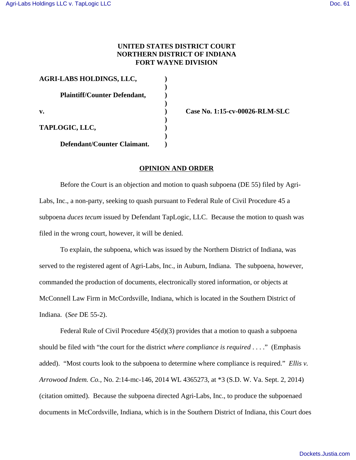## **UNITED STATES DISTRICT COURT NORTHERN DISTRICT OF INDIANA FORT WAYNE DIVISION**

| <b>AGRI-LABS HOLDINGS, LLC,</b><br><b>Plaintiff/Counter Defendant,</b><br>v. |  |                             |  |
|------------------------------------------------------------------------------|--|-----------------------------|--|
|                                                                              |  | TAPLOGIC, LLC,              |  |
|                                                                              |  | Defendant/Counter Claimant. |  |

**v. ) Case No. 1:15-cv-00026-RLM-SLC**

## **OPINION AND ORDER**

Before the Court is an objection and motion to quash subpoena (DE 55) filed by Agri-Labs, Inc., a non-party, seeking to quash pursuant to Federal Rule of Civil Procedure 45 a subpoena *duces tecum* issued by Defendant TapLogic, LLC. Because the motion to quash was filed in the wrong court, however, it will be denied.

To explain, the subpoena, which was issued by the Northern District of Indiana, was served to the registered agent of Agri-Labs, Inc., in Auburn, Indiana. The subpoena, however, commanded the production of documents, electronically stored information, or objects at McConnell Law Firm in McCordsville, Indiana, which is located in the Southern District of Indiana. (*See* DE 55-2).

Federal Rule of Civil Procedure 45(d)(3) provides that a motion to quash a subpoena should be filed with "the court for the district *where compliance is required* . . . ." (Emphasis added). "Most courts look to the subpoena to determine where compliance is required." *Ellis v. Arrowood Indem. Co.*, No. 2:14-mc-146, 2014 WL 4365273, at \*3 (S.D. W. Va. Sept. 2, 2014) (citation omitted). Because the subpoena directed Agri-Labs, Inc., to produce the subpoenaed documents in McCordsville, Indiana, which is in the Southern District of Indiana, this Court does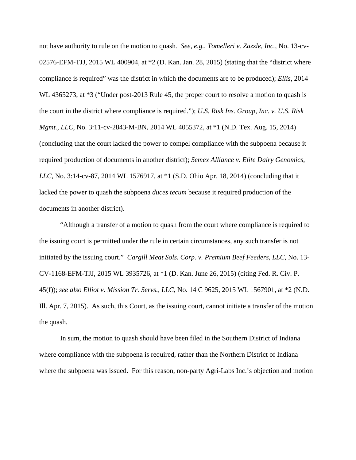not have authority to rule on the motion to quash*. See, e.g.*, *Tomelleri v. Zazzle, Inc.*, No. 13-cv-02576-EFM-TJJ, 2015 WL 400904, at \*2 (D. Kan. Jan. 28, 2015) (stating that the "district where compliance is required" was the district in which the documents are to be produced); *Ellis*, 2014 WL 4365273, at  $*3$  ("Under post-2013 Rule 45, the proper court to resolve a motion to quash is the court in the district where compliance is required."); *U.S. Risk Ins. Group, Inc. v. U.S. Risk Mgmt., LLC*, No. 3:11-cv-2843-M-BN, 2014 WL 4055372, at \*1 (N.D. Tex. Aug. 15, 2014) (concluding that the court lacked the power to compel compliance with the subpoena because it required production of documents in another district); *Semex Alliance v. Elite Dairy Genomics, LLC*, No. 3:14-cv-87, 2014 WL 1576917, at \*1 (S.D. Ohio Apr. 18, 2014) (concluding that it lacked the power to quash the subpoena *duces tecum* because it required production of the documents in another district).

"Although a transfer of a motion to quash from the court where compliance is required to the issuing court is permitted under the rule in certain circumstances, any such transfer is not initiated by the issuing court." *Cargill Meat Sols. Corp. v. Premium Beef Feeders, LLC*, No. 13- CV-1168-EFM-TJJ, 2015 WL 3935726, at \*1 (D. Kan. June 26, 2015) (citing Fed. R. Civ. P. 45(f)); *see also Elliot v. Mission Tr. Servs., LLC*, No. 14 C 9625, 2015 WL 1567901, at \*2 (N.D. Ill. Apr. 7, 2015). As such, this Court, as the issuing court, cannot initiate a transfer of the motion the quash.

In sum, the motion to quash should have been filed in the Southern District of Indiana where compliance with the subpoena is required, rather than the Northern District of Indiana where the subpoena was issued. For this reason, non-party Agri-Labs Inc.'s objection and motion